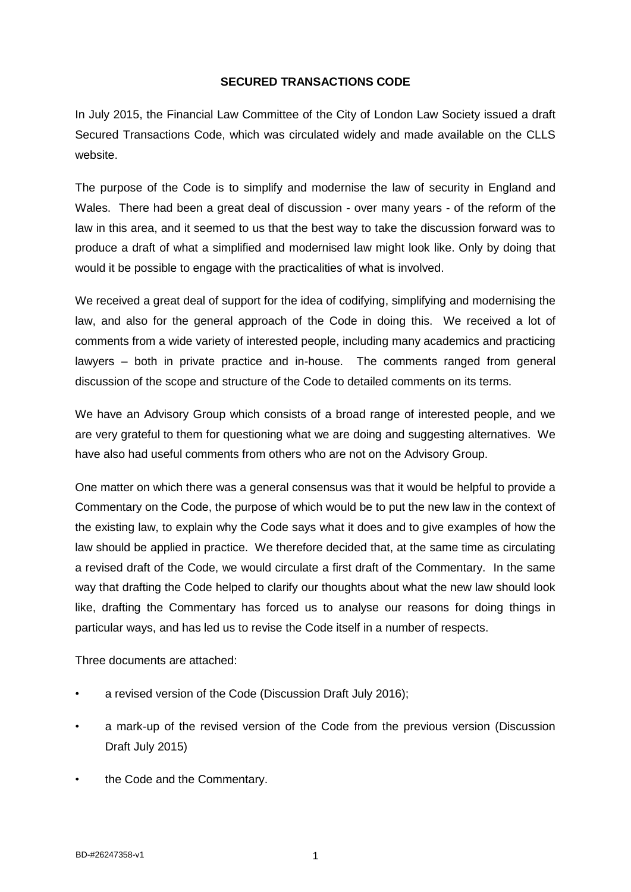## **SECURED TRANSACTIONS CODE**

In July 2015, the Financial Law Committee of the City of London Law Society issued a draft Secured Transactions Code, which was circulated widely and made available on the CLLS website.

The purpose of the Code is to simplify and modernise the law of security in England and Wales. There had been a great deal of discussion - over many years - of the reform of the law in this area, and it seemed to us that the best way to take the discussion forward was to produce a draft of what a simplified and modernised law might look like. Only by doing that would it be possible to engage with the practicalities of what is involved.

We received a great deal of support for the idea of codifying, simplifying and modernising the law, and also for the general approach of the Code in doing this. We received a lot of comments from a wide variety of interested people, including many academics and practicing lawyers – both in private practice and in-house. The comments ranged from general discussion of the scope and structure of the Code to detailed comments on its terms.

We have an Advisory Group which consists of a broad range of interested people, and we are very grateful to them for questioning what we are doing and suggesting alternatives. We have also had useful comments from others who are not on the Advisory Group.

One matter on which there was a general consensus was that it would be helpful to provide a Commentary on the Code, the purpose of which would be to put the new law in the context of the existing law, to explain why the Code says what it does and to give examples of how the law should be applied in practice. We therefore decided that, at the same time as circulating a revised draft of the Code, we would circulate a first draft of the Commentary. In the same way that drafting the Code helped to clarify our thoughts about what the new law should look like, drafting the Commentary has forced us to analyse our reasons for doing things in particular ways, and has led us to revise the Code itself in a number of respects.

Three documents are attached:

- a revised version of the Code (Discussion Draft July 2016);
- a mark-up of the revised version of the Code from the previous version (Discussion Draft July 2015)
- the Code and the Commentary.